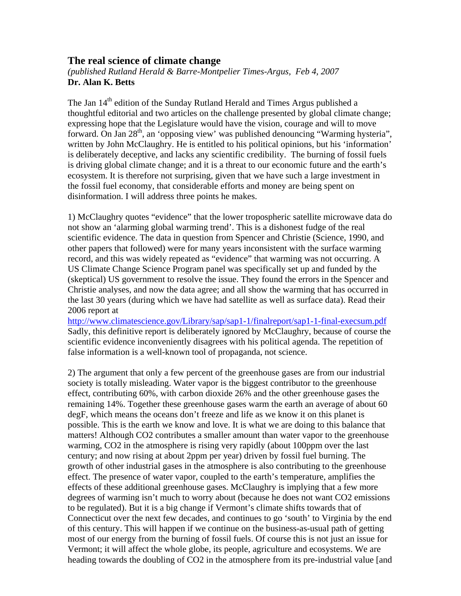## **The real science of climate change**

*(published Rutland Herald & Barre-Montpelier Times-Argus, Feb 4, 2007*  **Dr. Alan K. Betts** 

The Jan  $14<sup>th</sup>$  edition of the Sunday Rutland Herald and Times Argus published a thoughtful editorial and two articles on the challenge presented by global climate change; expressing hope that the Legislature would have the vision, courage and will to move forward. On Jan 28<sup>th</sup>, an 'opposing view' was published denouncing "Warming hysteria", written by John McClaughry. He is entitled to his political opinions, but his 'information' is deliberately deceptive, and lacks any scientific credibility. The burning of fossil fuels is driving global climate change; and it is a threat to our economic future and the earth's ecosystem. It is therefore not surprising, given that we have such a large investment in the fossil fuel economy, that considerable efforts and money are being spent on disinformation. I will address three points he makes.

1) McClaughry quotes "evidence" that the lower tropospheric satellite microwave data do not show an 'alarming global warming trend'. This is a dishonest fudge of the real scientific evidence. The data in question from Spencer and Christie (Science, 1990, and other papers that followed) were for many years inconsistent with the surface warming record, and this was widely repeated as "evidence" that warming was not occurring. A US Climate Change Science Program panel was specifically set up and funded by the (skeptical) US government to resolve the issue. They found the errors in the Spencer and Christie analyses, and now the data agree; and all show the warming that has occurred in the last 30 years (during which we have had satellite as well as surface data). Read their 2006 report at

<http://www.climatescience.gov/Library/sap/sap1-1/finalreport/sap1-1-final-execsum.pdf> Sadly, this definitive report is deliberately ignored by McClaughry, because of course the scientific evidence inconveniently disagrees with his political agenda. The repetition of false information is a well-known tool of propaganda, not science.

2) The argument that only a few percent of the greenhouse gases are from our industrial society is totally misleading. Water vapor is the biggest contributor to the greenhouse effect, contributing 60%, with carbon dioxide 26% and the other greenhouse gases the remaining 14%. Together these greenhouse gases warm the earth an average of about 60 degF, which means the oceans don't freeze and life as we know it on this planet is possible. This is the earth we know and love. It is what we are doing to this balance that matters! Although CO2 contributes a smaller amount than water vapor to the greenhouse warming, CO2 in the atmosphere is rising very rapidly (about 100ppm over the last century; and now rising at about 2ppm per year) driven by fossil fuel burning. The growth of other industrial gases in the atmosphere is also contributing to the greenhouse effect. The presence of water vapor, coupled to the earth's temperature, amplifies the effects of these additional greenhouse gases. McClaughry is implying that a few more degrees of warming isn't much to worry about (because he does not want CO2 emissions to be regulated). But it is a big change if Vermont's climate shifts towards that of Connecticut over the next few decades, and continues to go 'south' to Virginia by the end of this century. This will happen if we continue on the business-as-usual path of getting most of our energy from the burning of fossil fuels. Of course this is not just an issue for Vermont; it will affect the whole globe, its people, agriculture and ecosystems. We are heading towards the doubling of CO2 in the atmosphere from its pre-industrial value [and